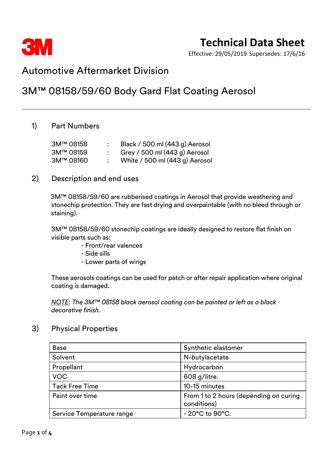

Effective: 29/05/2019 Supersedes: 17/6/16

# Automotive Aftermarket Division

# 3M™ 08158/59/60 Body Gard Flat Coating Aerosol

# 1) Part Numbers

| 3M™ 08158 | Black / 500 ml (443 g) Aerosol |
|-----------|--------------------------------|
| 3M™ 08159 | Grey / 500 ml (443 g) Aerosol  |
| 3M™ 08160 | White / 500 ml (443 g) Aerosol |

## 2) Description and end uses

3M™ 08158/59/60 are rubberised coatings in Aerosol that provide weathering and stonechip protection. They are fast drying and overpaintable (with no bleed through or staining).

3M™ 08158/59/60 stonechip coatings are ideally designed to restore flat finish on visible parts such as:

- Front/rear valences
- Side sills
- Lower parts of wings

These aerosols coatings can be used for patch or after repair application where original coating is damaged.

*NOTE: The 3M™ 08158 black aerosol coating can be painted or left as a black decorative finish.*

## 3) Physical Properties

| <b>Base</b>               | Synthetic elastomer                                   |
|---------------------------|-------------------------------------------------------|
| Solvent                   | N-butylacetate                                        |
| Propellant                | Hydrocarbon                                           |
| <b>VOC</b>                | 608 g/litre.                                          |
| <b>Tack Free Time</b>     | 10-15 minutes                                         |
| Paint over time           | From 1 to 2 hours (depending on curing<br>conditions) |
| Service Temperature range | $-20^{\circ}$ C to $90^{\circ}$ C.                    |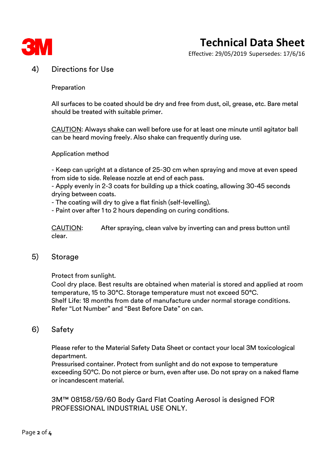

# **Technical Data Sheet**

Effective: 29/05/2019 Supersedes: 17/6/16

# 4) Directions for Use

#### **Preparation**

All surfaces to be coated should be dry and free from dust, oil, grease, etc. Bare metal should be treated with suitable primer.

CAUTION: Always shake can well before use for at least one minute until agitator ball can be heard moving freely. Also shake can frequently during use.

#### Application method

- Keep can upright at a distance of 25-30 cm when spraying and move at even speed from side to side. Release nozzle at end of each pass.

- Apply evenly in 2-3 coats for building up a thick coating, allowing 30-45 seconds drying between coats.

- The coating will dry to give a flat finish (self-levelling).

- Paint over after 1 to 2 hours depending on curing conditions.

CAUTION: After spraying, clean valve by inverting can and press button until clear.

## 5) Storage

Protect from sunlight.

Cool dry place. Best results are obtained when material is stored and applied at room temperature, 15 to 30°C. Storage temperature must not exceed 50°C. Shelf Life: 18 months from date of manufacture under normal storage conditions. Refer "Lot Number" and "Best Before Date" on can.

## 6) Safety

Please refer to the Material Safety Data Sheet or contact your local 3M toxicological department.

Pressurised container. Protect from sunlight and do not expose to temperature exceeding 50°C. Do not pierce or burn, even after use. Do not spray on a naked flame or incandescent material.

3M™ 08158/59/60 Body Gard Flat Coating Aerosol is designed FOR PROFESSIONAL INDUSTRIAL USE ONLY.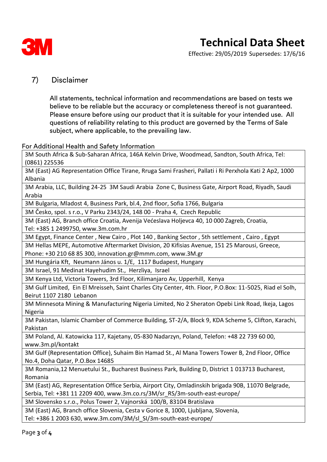

Effective: 29/05/2019 Supersedes: 17/6/16

# 7) Disclaimer

All statements, technical information and recommendations are based on tests we believe to be reliable but the accuracy or completeness thereof is not guaranteed. Please ensure before using our product that it is suitable for your intended use. All questions of reliability relating to this product are governed by the Terms of Sale subject, where applicable, to the prevailing law.

#### For Additional Health and Safety Information

3M South Africa & Sub-Saharan Africa, 146A Kelvin Drive, Woodmead, Sandton, South Africa, Tel: (0861) 225536

3M (East) AG Representation Office Tirane, Rruga Sami Frasheri, Pallati i Ri Perxhola Kati 2 Ap2, 1000 Albania

3M Arabia, LLC, Building 24-25 3M Saudi Arabia Zone C, Business Gate, Airport Road, Riyadh, Saudi Arabia

3M Bulgaria, Mladost 4, Business Park, bl.4, 2nd floor, Sofia 1766, Bulgaria

3M Česko, spol. s r.o., V Parku 2343/24, 148 00 - Praha 4, Czech Republic

3M (East) AG, Branch office Croatia, Avenija Većeslava Holjevca 40, 10 000 Zagreb, Croatia,

Tel: +385 1 2499750, www.3m.com.hr

3M Egypt, Finance Center , New Cairo , Plot 140 , Banking Sector , 5th settlement , Cairo , Egypt

3M Hellas MEPE, Automotive Aftermarket Division, 20 Kifisias Avenue, 151 25 Marousi, Greece, Phone: +30 210 68 85 300, innovation.gr@mmm.com, www.3M.gr

3M Hungária Kft, Neumann János u. 1/E, 1117 Budapest, Hungary

3M Israel, 91 Medinat Hayehudim St., Herzliya, Israel

3M Kenya Ltd, Victoria Towers, 3rd Floor, Kilimanjaro Av, Upperhill, Kenya

3M Gulf Limited, Ein El Mreisseh, Saint Charles City Center, 4th. Floor, P.O.Box: 11-5025, Riad el Solh, Beirut 1107 2180 Lebanon

3M Minnesota Mining & Manufacturing Nigeria Limited, No 2 Sheraton Opebi Link Road, Ikeja, Lagos Nigeria

3M Pakistan, Islamic Chamber of Commerce Building, ST-2/A, Block 9, KDA Scheme 5, Clifton, Karachi, Pakistan

3M Poland, Al. Katowicka 117, Kajetany, 05-830 Nadarzyn, Poland, Telefon: +48 22 739 60 00, www.3m.pl/kontakt

3M Gulf (Representation Office), Suhaim Bin Hamad St., Al Mana Towers Tower B, 2nd Floor, Office No.4, Doha Qatar, P.O.Box 14685

3M Romania,12 Menuetului St., Bucharest Business Park, Building D, District 1 013713 Bucharest, Romania

3M (East) AG, Representation Office Serbia, Airport City, Omladinskih brigada 90B, 11070 Belgrade, Serbia, Tel: +381 11 2209 400, www.3m.co.rs/3M/sr\_RS/3m-south-east-europe/

3M Slovensko s.r.o., Polus Tower 2, Vajnorská 100/B, 83104 Bratislava

3M (East) AG, Branch office Slovenia, Cesta v Gorice 8, 1000, Ljubljana, Slovenia, Tel: +386 1 2003 630, www.3m.com/3M/sl\_SI/3m-south-east-europe/